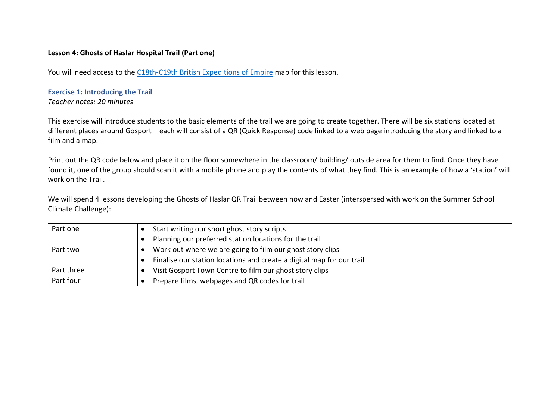## **Lesson 4: Ghosts of Haslar Hospital Trail (Part one)**

You will need access to the [C18th-C19th British Expeditions of Empire](https://the-earth-museum.maps.arcgis.com/apps/webappviewer/index.html?id=f6674a9d9f9347acb2eb0986a94f3c9f) map for this lesson.

## **Exercise 1: Introducing the Trail**

*Teacher notes: 20 minutes*

This exercise will introduce students to the basic elements of the trail we are going to create together. There will be six stations located at different places around Gosport – each will consist of a QR (Quick Response) code linked to a web page introducing the story and linked to a film and a map.

Print out the QR code below and place it on the floor somewhere in the classroom/ building/ outside area for them to find. Once they have found it, one of the group should scan it with a mobile phone and play the contents of what they find. This is an example of how a 'station' will work on the Trail

We will spend 4 lessons developing the Ghosts of Haslar QR Trail between now and Easter (interspersed with work on the Summer School Climate Challenge):

| Part one   | Start writing our short ghost story scripts                           |  |
|------------|-----------------------------------------------------------------------|--|
|            | Planning our preferred station locations for the trail                |  |
| Part two   | Work out where we are going to film our ghost story clips             |  |
|            | Finalise our station locations and create a digital map for our trail |  |
| Part three | Visit Gosport Town Centre to film our ghost story clips               |  |
| Part four  | Prepare films, webpages and QR codes for trail                        |  |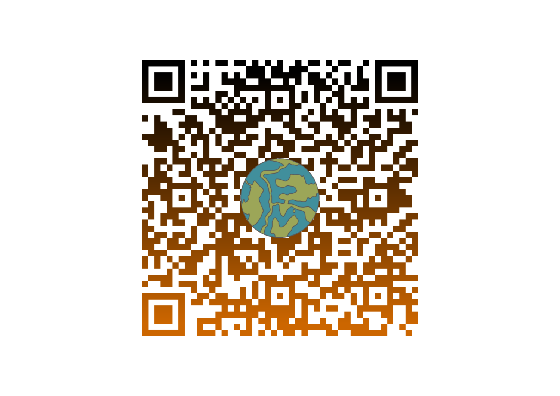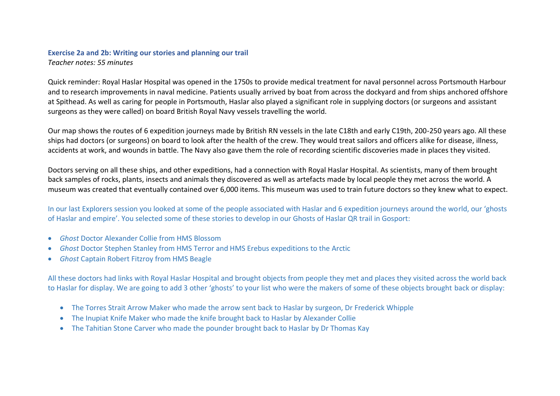## **Exercise 2a and 2b: Writing our stories and planning our trail** *Teacher notes: 55 minutes*

Quick reminder: Royal Haslar Hospital was opened in the 1750s to provide medical treatment for naval personnel across Portsmouth Harbour and to research improvements in naval medicine. Patients usually arrived by boat from across the dockyard and from ships anchored offshore at Spithead. As well as caring for people in Portsmouth, Haslar also played a significant role in supplying doctors (or surgeons and assistant surgeons as they were called) on board British Royal Navy vessels travelling the world.

Our map shows the routes of 6 expedition journeys made by British RN vessels in the late C18th and early C19th, 200-250 years ago. All these ships had doctors (or surgeons) on board to look after the health of the crew. They would treat sailors and officers alike for disease, illness, accidents at work, and wounds in battle. The Navy also gave them the role of recording scientific discoveries made in places they visited.

Doctors serving on all these ships, and other expeditions, had a connection with Royal Haslar Hospital. As scientists, many of them brought back samples of rocks, plants, insects and animals they discovered as well as artefacts made by local people they met across the world. A museum was created that eventually contained over 6,000 items. This museum was used to train future doctors so they knew what to expect.

In our last Explorers session you looked at some of the people associated with Haslar and 6 expedition journeys around the world, our 'ghosts of Haslar and empire'. You selected some of these stories to develop in our Ghosts of Haslar QR trail in Gosport:

- *Ghost* Doctor Alexander Collie from HMS Blossom
- *Ghost* Doctor Stephen Stanley from HMS Terror and HMS Erebus expeditions to the Arctic
- *Ghost* Captain Robert Fitzroy from HMS Beagle

All these doctors had links with Royal Haslar Hospital and brought objects from people they met and places they visited across the world back to Haslar for display. We are going to add 3 other 'ghosts' to your list who were the makers of some of these objects brought back or display:

- The Torres Strait Arrow Maker who made the arrow sent back to Haslar by surgeon, Dr Frederick Whipple
- The Inupiat Knife Maker who made the knife brought back to Haslar by Alexander Collie
- The Tahitian Stone Carver who made the pounder brought back to Haslar by Dr Thomas Kay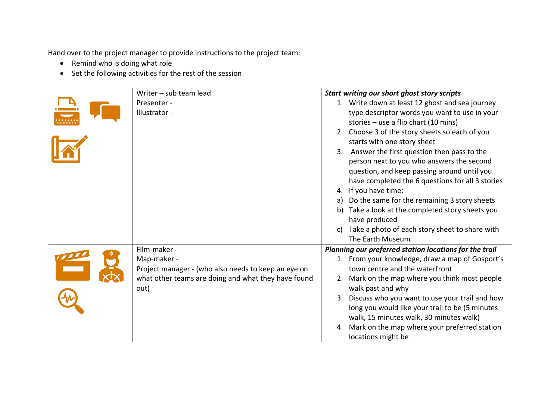Hand over to the project manager to provide instructions to the project team:

- Remind who is doing what role
- Set the following activities for the rest of the session

|  | Writer - sub team lead                                      | Start writing our short ghost story scripts                                                                                                                                                      |
|--|-------------------------------------------------------------|--------------------------------------------------------------------------------------------------------------------------------------------------------------------------------------------------|
|  | Presenter -<br>Illustrator -                                | 1. Write down at least 12 ghost and sea journey<br>type descriptor words you want to use in your<br>stories $-$ use a flip chart (10 mins)                                                       |
|  |                                                             | 2. Choose 3 of the story sheets so each of you<br>starts with one story sheet                                                                                                                    |
|  |                                                             | Answer the first question then pass to the<br>3.<br>person next to you who answers the second<br>question, and keep passing around until you<br>have completed the 6 questions for all 3 stories |
|  |                                                             | If you have time:<br>4.                                                                                                                                                                          |
|  |                                                             | Do the same for the remaining 3 story sheets<br>a)                                                                                                                                               |
|  |                                                             | Take a look at the completed story sheets you<br>b)                                                                                                                                              |
|  |                                                             | have produced                                                                                                                                                                                    |
|  |                                                             | Take a photo of each story sheet to share with<br>C)<br>The Earth Museum                                                                                                                         |
|  | Film-maker -                                                | Planning our preferred station locations for the trail                                                                                                                                           |
|  | Map-maker -                                                 | From your knowledge, draw a map of Gosport's<br>1.                                                                                                                                               |
|  | Project manager - (who also needs to keep an eye on         | town centre and the waterfront                                                                                                                                                                   |
|  | what other teams are doing and what they have found<br>out) | Mark on the map where you think most people<br>walk past and why                                                                                                                                 |
|  |                                                             | Discuss who you want to use your trail and how<br>3.                                                                                                                                             |
|  |                                                             | long you would like your trail to be (5 minutes<br>walk, 15 minutes walk, 30 minutes walk)                                                                                                       |
|  |                                                             | Mark on the map where your preferred station<br>4.                                                                                                                                               |
|  |                                                             | locations might be                                                                                                                                                                               |